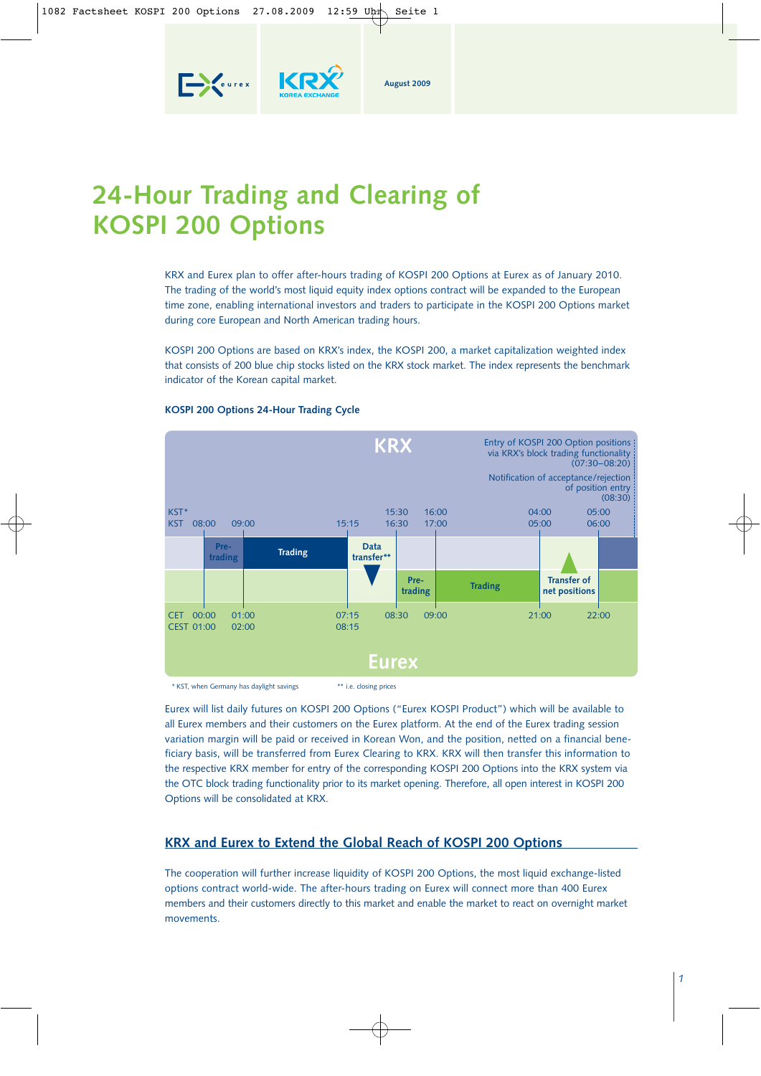

KR

**Exercise** 

KRX and Eurex plan to offer after-hours trading of KOSPI 200 Options at Eurex as of January 2010. The trading of the world's most liquid equity index options contract will be expanded to the European time zone, enabling international investors and traders to participate in the KOSPI 200 Options market during core European and North American trading hours.

**August 2009**

KOSPI 200 Options are based on KRX's index, the KOSPI 200, a market capitalization weighted index that consists of 200 blue chip stocks listed on the KRX stock market. The index represents the benchmark indicator of the Korean capital market.



### **KOSPI 200 Options 24-Hour Trading Cycle**

\* KST, when Germany has daylight savings \*\* i.e. closing prices

Eurex will list daily futures on KOSPI 200 Options ("Eurex KOSPI Product") which will be available to all Eurex members and their customers on the Eurex platform. At the end of the Eurex trading session variation margin will be paid or received in Korean Won, and the position, netted on a financial beneficiary basis, will be transferred from Eurex Clearing to KRX. KRX will then transfer this information to the respective KRX member for entry of the corresponding KOSPI 200 Options into the KRX system via the OTC block trading functionality prior to its market opening. Therefore, all open interest in KOSPI 200 Options will be consolidated at KRX.

# **KRX and Eurex to Extend the Global Reach of KOSPI 200 Options**

The cooperation will further increase liquidity of KOSPI 200 Options, the most liquid exchange-listed options contract world-wide. The after-hours trading on Eurex will connect more than 400 Eurex members and their customers directly to this market and enable the market to react on overnight market movements.